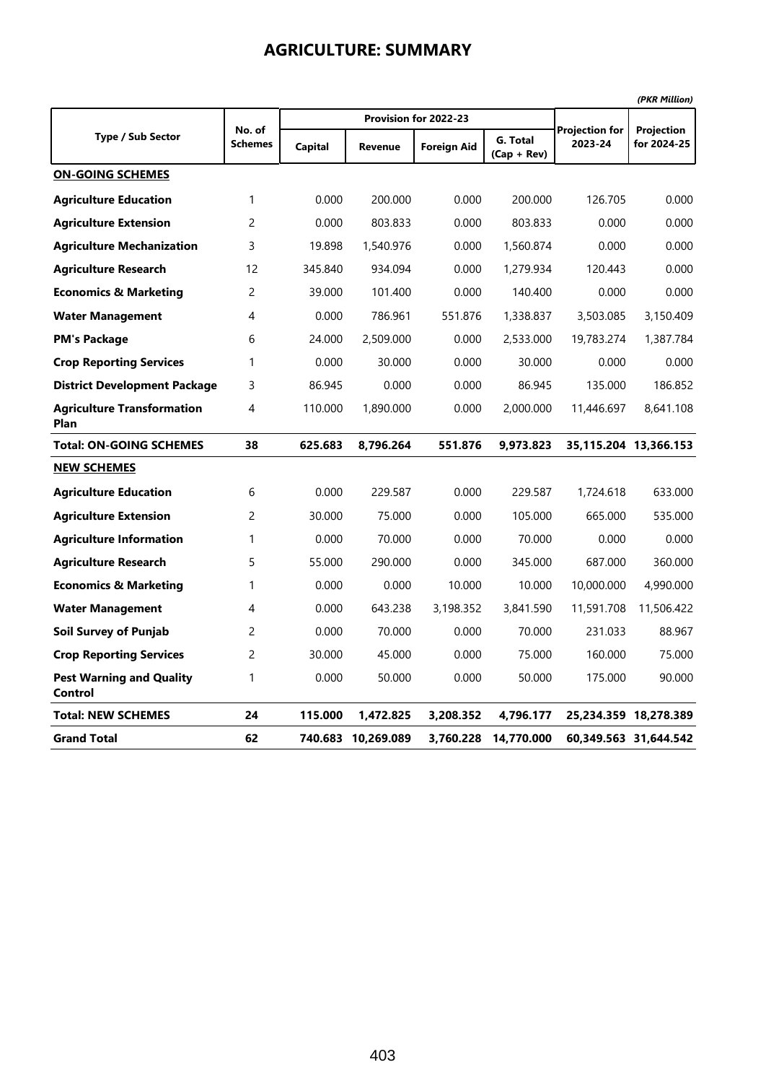|                                            |                          |                |                    |                       |                           |                                  | (PKR Million)             |
|--------------------------------------------|--------------------------|----------------|--------------------|-----------------------|---------------------------|----------------------------------|---------------------------|
|                                            |                          |                |                    | Provision for 2022-23 |                           |                                  |                           |
| <b>Type / Sub Sector</b>                   | No. of<br><b>Schemes</b> | <b>Capital</b> | Revenue            | <b>Foreign Aid</b>    | G. Total<br>$(Cap + Rev)$ | <b>Projection for</b><br>2023-24 | Projection<br>for 2024-25 |
| <b>ON-GOING SCHEMES</b>                    |                          |                |                    |                       |                           |                                  |                           |
| <b>Agriculture Education</b>               | 1                        | 0.000          | 200.000            | 0.000                 | 200.000                   | 126.705                          | 0.000                     |
| <b>Agriculture Extension</b>               | 2                        | 0.000          | 803.833            | 0.000                 | 803.833                   | 0.000                            | 0.000                     |
| <b>Agriculture Mechanization</b>           | 3                        | 19.898         | 1,540.976          | 0.000                 | 1,560.874                 | 0.000                            | 0.000                     |
| <b>Agriculture Research</b>                | 12                       | 345.840        | 934.094            | 0.000                 | 1,279.934                 | 120.443                          | 0.000                     |
| <b>Economics &amp; Marketing</b>           | 2                        | 39.000         | 101.400            | 0.000                 | 140.400                   | 0.000                            | 0.000                     |
| <b>Water Management</b>                    | 4                        | 0.000          | 786.961            | 551.876               | 1,338.837                 | 3,503.085                        | 3,150.409                 |
| <b>PM's Package</b>                        | 6                        | 24.000         | 2,509.000          | 0.000                 | 2,533.000                 | 19,783.274                       | 1,387.784                 |
| <b>Crop Reporting Services</b>             | 1                        | 0.000          | 30.000             | 0.000                 | 30.000                    | 0.000                            | 0.000                     |
| <b>District Development Package</b>        | 3                        | 86.945         | 0.000              | 0.000                 | 86.945                    | 135.000                          | 186.852                   |
| <b>Agriculture Transformation</b><br>Plan  | 4                        | 110.000        | 1,890.000          | 0.000                 | 2,000.000                 | 11,446.697                       | 8,641.108                 |
| <b>Total: ON-GOING SCHEMES</b>             | 38                       | 625.683        | 8,796.264          | 551.876               | 9,973.823                 |                                  | 35,115.204 13,366.153     |
| <b>NEW SCHEMES</b>                         |                          |                |                    |                       |                           |                                  |                           |
| <b>Agriculture Education</b>               | 6                        | 0.000          | 229.587            | 0.000                 | 229.587                   | 1,724.618                        | 633.000                   |
| <b>Agriculture Extension</b>               | 2                        | 30.000         | 75.000             | 0.000                 | 105.000                   | 665.000                          | 535.000                   |
| <b>Agriculture Information</b>             | 1                        | 0.000          | 70.000             | 0.000                 | 70.000                    | 0.000                            | 0.000                     |
| <b>Agriculture Research</b>                | 5                        | 55.000         | 290.000            | 0.000                 | 345.000                   | 687.000                          | 360.000                   |
| <b>Economics &amp; Marketing</b>           | 1                        | 0.000          | 0.000              | 10.000                | 10.000                    | 10,000.000                       | 4,990.000                 |
| <b>Water Management</b>                    | 4                        | 0.000          | 643.238            | 3,198.352             | 3,841.590                 | 11,591.708                       | 11,506.422                |
| <b>Soil Survey of Punjab</b>               | $\overline{c}$           | 0.000          | 70.000             | 0.000                 | 70.000                    | 231.033                          | 88.967                    |
| <b>Crop Reporting Services</b>             | 2                        | 30.000         | 45.000             | 0.000                 | 75.000                    | 160.000                          | 75.000                    |
| <b>Pest Warning and Quality</b><br>Control | 1                        | 0.000          | 50.000             | 0.000                 | 50.000                    | 175.000                          | 90.000                    |
| <b>Total: NEW SCHEMES</b>                  | 24                       | 115.000        | 1,472.825          | 3,208.352             | 4,796.177                 |                                  | 25,234.359 18,278.389     |
| <b>Grand Total</b>                         | 62                       |                | 740.683 10,269.089 | 3,760.228             | 14,770.000                |                                  | 60,349.563 31,644.542     |

### **AGRICULTURE: SUMMARY**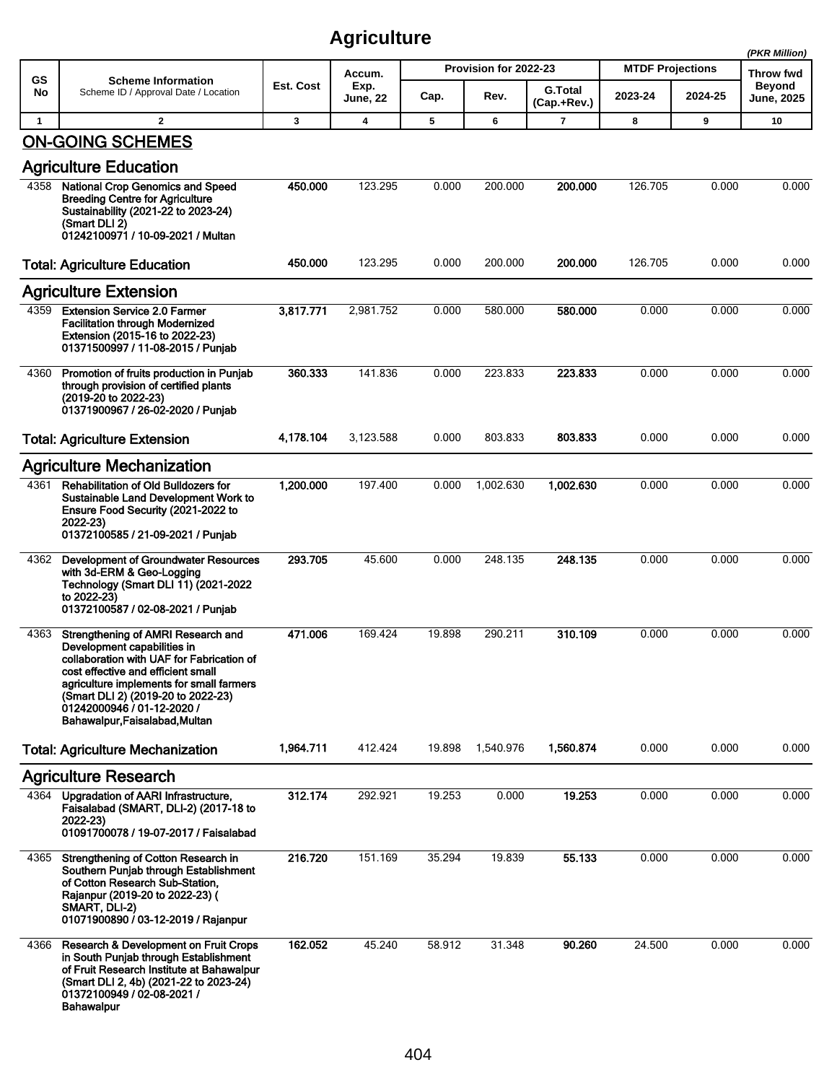|              |                                                                                                                                                                                                                                                                                                       |           |                         |        |                       |                               |                         |         | (PKR Million)                      |
|--------------|-------------------------------------------------------------------------------------------------------------------------------------------------------------------------------------------------------------------------------------------------------------------------------------------------------|-----------|-------------------------|--------|-----------------------|-------------------------------|-------------------------|---------|------------------------------------|
| <b>GS</b>    | <b>Scheme Information</b>                                                                                                                                                                                                                                                                             | Est. Cost | Accum.                  |        | Provision for 2022-23 |                               | <b>MTDF Projections</b> |         | <b>Throw fwd</b>                   |
| No           | Scheme ID / Approval Date / Location                                                                                                                                                                                                                                                                  |           | Exp.<br><b>June, 22</b> | Cap.   | Rev.                  | <b>G.Total</b><br>(Cap.+Rev.) | 2023-24                 | 2024-25 | <b>Beyond</b><br><b>June, 2025</b> |
| $\mathbf{1}$ | $\mathbf{2}$                                                                                                                                                                                                                                                                                          | 3         | 4                       | 5      | 6                     | $\overline{7}$                | 8                       | 9       | 10                                 |
|              | <b>ON-GOING SCHEMES</b>                                                                                                                                                                                                                                                                               |           |                         |        |                       |                               |                         |         |                                    |
|              | <b>Agriculture Education</b>                                                                                                                                                                                                                                                                          |           |                         |        |                       |                               |                         |         |                                    |
| 4358         | <b>National Crop Genomics and Speed</b><br><b>Breeding Centre for Agriculture</b><br>Sustainability (2021-22 to 2023-24)<br>(Smart DLI 2)<br>01242100971 / 10-09-2021 / Multan                                                                                                                        | 450.000   | 123.295                 | 0.000  | 200.000               | 200.000                       | 126.705                 | 0.000   | 0.000                              |
|              | <b>Total: Agriculture Education</b>                                                                                                                                                                                                                                                                   | 450.000   | 123.295                 | 0.000  | 200.000               | 200.000                       | 126.705                 | 0.000   | 0.000                              |
|              | <b>Agriculture Extension</b>                                                                                                                                                                                                                                                                          |           |                         |        |                       |                               |                         |         |                                    |
| 4359         | <b>Extension Service 2.0 Farmer</b><br><b>Facilitation through Modernized</b><br>Extension (2015-16 to 2022-23)<br>01371500997 / 11-08-2015 / Punjab                                                                                                                                                  | 3,817.771 | 2,981.752               | 0.000  | 580.000               | 580.000                       | 0.000                   | 0.000   | 0.000                              |
| 4360         | Promotion of fruits production in Punjab<br>through provision of certified plants<br>(2019-20 to 2022-23)<br>01371900967 / 26-02-2020 / Punjab                                                                                                                                                        | 360.333   | 141.836                 | 0.000  | 223.833               | 223.833                       | 0.000                   | 0.000   | 0.000                              |
|              | <b>Total: Agriculture Extension</b>                                                                                                                                                                                                                                                                   | 4,178.104 | 3,123.588               | 0.000  | 803.833               | 803.833                       | 0.000                   | 0.000   | 0.000                              |
|              | <b>Agriculture Mechanization</b>                                                                                                                                                                                                                                                                      |           |                         |        |                       |                               |                         |         |                                    |
| 4361         | Rehabilitation of Old Bulldozers for<br>Sustainable Land Development Work to<br>Ensure Food Security (2021-2022 to<br>2022-23)<br>01372100585 / 21-09-2021 / Punjab                                                                                                                                   | 1,200.000 | 197.400                 | 0.000  | 1,002.630             | 1,002.630                     | 0.000                   | 0.000   | 0.000                              |
| 4362         | <b>Development of Groundwater Resources</b><br>with 3d-ERM & Geo-Logging<br><b>Technology (Smart DLI 11) (2021-2022</b><br>to 2022-23)<br>01372100587 / 02-08-2021 / Punjab                                                                                                                           | 293.705   | 45.600                  | 0.000  | 248.135               | 248.135                       | 0.000                   | 0.000   | 0.000                              |
| 4363         | Strengthening of AMRI Research and<br>Development capabilities in<br>collaboration with UAF for Fabrication of<br>cost effective and efficient small<br>agriculture implements for small farmers<br>(Smart DLI 2) (2019-20 to 2022-23)<br>01242000946 / 01-12-2020 /<br>Bahawalpur Faisalabad, Multan | 471.006   | 169.424                 | 19.898 | 290.211               | 310.109                       | 0.000                   | 0.000   | 0.000                              |
|              | <b>Total: Agriculture Mechanization</b>                                                                                                                                                                                                                                                               | 1,964.711 | 412.424                 | 19.898 | 1,540.976             | 1,560.874                     | 0.000                   | 0.000   | 0.000                              |
|              | <b>Agriculture Research</b>                                                                                                                                                                                                                                                                           |           |                         |        |                       |                               |                         |         |                                    |
| 4364         | Upgradation of AARI Infrastructure,<br>Faisalabad (SMART, DLI-2) (2017-18 to<br>2022-23)<br>01091700078 / 19-07-2017 / Faisalabad                                                                                                                                                                     | 312.174   | 292.921                 | 19.253 | 0.000                 | 19.253                        | 0.000                   | 0.000   | 0.000                              |
| 4365         | Strengthening of Cotton Research in<br>Southern Punjab through Establishment<br>of Cotton Research Sub-Station,<br>Rajanpur (2019-20 to 2022-23) (<br>SMART, DLI-2)<br>01071900890 / 03-12-2019 / Rajanpur                                                                                            | 216.720   | 151.169                 | 35.294 | 19.839                | 55.133                        | 0.000                   | 0.000   | 0.000                              |
| 4366         | Research & Development on Fruit Crops<br>in South Punjab through Establishment<br>of Fruit Research Institute at Bahawalpur<br>(Smart DLI 2, 4b) (2021-22 to 2023-24)<br>01372100949 / 02-08-2021 /<br>Bahawalpur                                                                                     | 162.052   | 45.240                  | 58.912 | 31.348                | 90.260                        | 24.500                  | 0.000   | 0.000                              |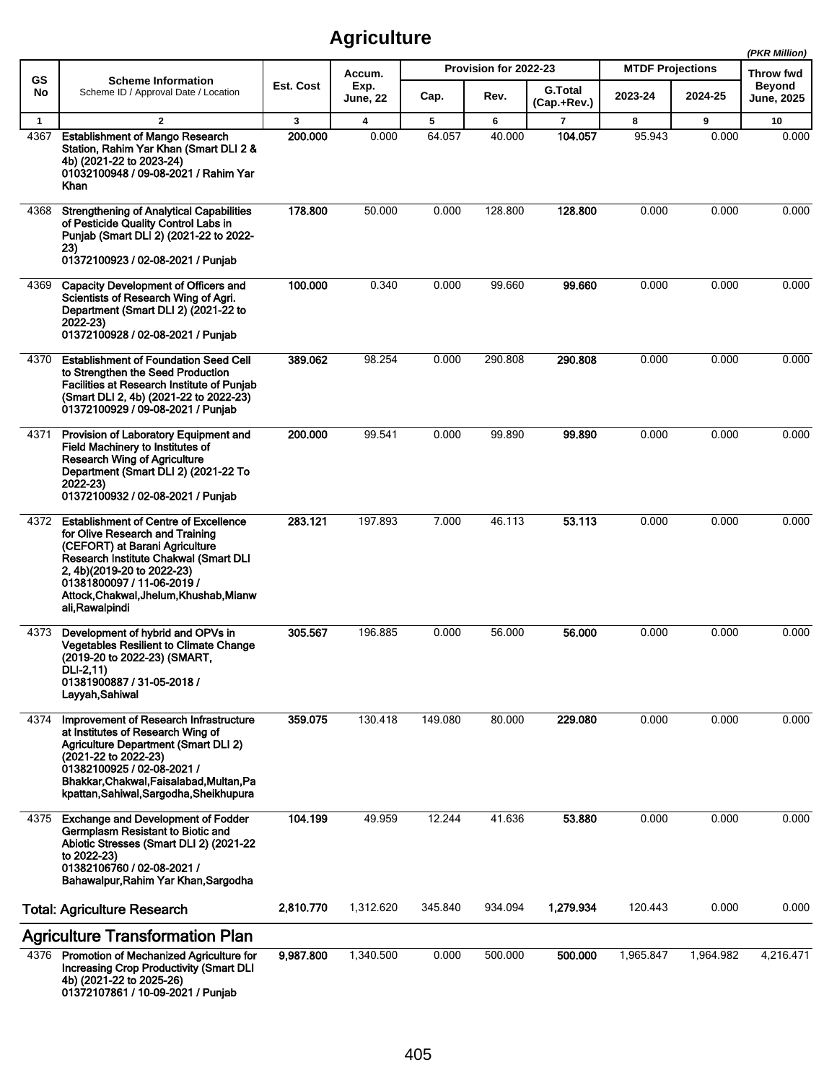|              |                                                                                                                                                                                                                                                                                      |           |                 |         |                       |                               |                         |           | (PKR Million)              |
|--------------|--------------------------------------------------------------------------------------------------------------------------------------------------------------------------------------------------------------------------------------------------------------------------------------|-----------|-----------------|---------|-----------------------|-------------------------------|-------------------------|-----------|----------------------------|
| GS           | <b>Scheme Information</b>                                                                                                                                                                                                                                                            | Est. Cost | Accum.<br>Exp.  |         | Provision for 2022-23 |                               | <b>MTDF Projections</b> |           | Throw fwd<br><b>Beyond</b> |
| No           | Scheme ID / Approval Date / Location                                                                                                                                                                                                                                                 |           | <b>June, 22</b> | Cap.    | Rev.                  | <b>G.Total</b><br>(Cap.+Rev.) | 2023-24                 | 2024-25   | June, 2025                 |
| $\mathbf{1}$ | $\overline{2}$                                                                                                                                                                                                                                                                       | 3         | 4               | 5       | 6                     | $\overline{7}$                | 8                       | 9         | 10                         |
| 4367         | <b>Establishment of Mango Research</b><br>Station, Rahim Yar Khan (Smart DLI 2 &<br>4b) (2021-22 to 2023-24)<br>01032100948 / 09-08-2021 / Rahim Yar<br>Khan                                                                                                                         | 200.000   | 0.000           | 64.057  | 40.000                | 104.057                       | 95.943                  | 0.000     | 0.000                      |
| 4368         | <b>Strengthening of Analytical Capabilities</b><br>of Pesticide Quality Control Labs in<br>Punjab (Smart DLI 2) (2021-22 to 2022-<br>23)<br>01372100923 / 02-08-2021 / Punjab                                                                                                        | 178.800   | 50.000          | 0.000   | 128.800               | 128.800                       | 0.000                   | 0.000     | 0.000                      |
| 4369         | <b>Capacity Development of Officers and</b><br>Scientists of Research Wing of Agri.<br>Department (Smart DLI 2) (2021-22 to<br>2022-23)<br>01372100928 / 02-08-2021 / Punjab                                                                                                         | 100.000   | 0.340           | 0.000   | 99.660                | 99.660                        | 0.000                   | 0.000     | 0.000                      |
| 4370         | <b>Establishment of Foundation Seed Cell</b><br>to Strengthen the Seed Production<br>Facilities at Research Institute of Punjab<br>(Smart DLI 2, 4b) (2021-22 to 2022-23)<br>01372100929 / 09-08-2021 / Punjab                                                                       | 389.062   | 98.254          | 0.000   | 290.808               | 290.808                       | 0.000                   | 0.000     | 0.000                      |
| 4371         | Provision of Laboratory Equipment and<br>Field Machinery to Institutes of<br><b>Research Wing of Agriculture</b><br>Department (Smart DLI 2) (2021-22 To<br>2022-23)<br>01372100932 / 02-08-2021 / Punjab                                                                            | 200.000   | 99.541          | 0.000   | 99.890                | 99.890                        | 0.000                   | 0.000     | 0.000                      |
| 4372         | <b>Establishment of Centre of Excellence</b><br>for Olive Research and Training<br>(CEFORT) at Barani Agriculture<br>Research Institute Chakwal (Smart DLI<br>2, 4b)(2019-20 to 2022-23)<br>01381800097 / 11-06-2019 /<br>Attock, Chakwal, Jhelum, Khushab, Mianw<br>ali, Rawalpindi | 283.121   | 197.893         | 7.000   | 46.113                | 53.113                        | 0.000                   | 0.000     | 0.000                      |
| 4373         | Development of hybrid and OPVs in<br><b>Vegetables Resilient to Climate Change</b><br>(2019-20 to 2022-23) (SMART,<br>DLI-2,11)<br>01381900887 / 31-05-2018 /<br>Layyah, Sahiwal                                                                                                     | 305.567   | 196.885         | 0.000   | 56.000                | 56,000                        | 0.000                   | 0.000     | 0.000                      |
| 4374         | Improvement of Research Infrastructure<br>at Institutes of Research Wing of<br><b>Agriculture Department (Smart DLI 2)</b><br>(2021-22 to 2022-23)<br>01382100925 / 02-08-2021 /<br>Bhakkar, Chakwal, Faisalabad, Multan, Pa<br>kpattan, Sahiwal, Sargodha, Sheikhupura              | 359.075   | 130.418         | 149.080 | 80.000                | 229.080                       | 0.000                   | 0.000     | 0.000                      |
| 4375         | <b>Exchange and Development of Fodder</b><br>Germplasm Resistant to Biotic and<br>Abiotic Stresses (Smart DLI 2) (2021-22<br>to 2022-23)<br>01382106760 / 02-08-2021 /<br>Bahawalpur, Rahim Yar Khan, Sargodha                                                                       | 104.199   | 49.959          | 12.244  | 41.636                | 53.880                        | 0.000                   | 0.000     | 0.000                      |
|              | <b>Total: Agriculture Research</b>                                                                                                                                                                                                                                                   | 2,810.770 | 1,312.620       | 345.840 | 934.094               | 1,279.934                     | 120.443                 | 0.000     | 0.000                      |
|              | <b>Agriculture Transformation Plan</b>                                                                                                                                                                                                                                               |           |                 |         |                       |                               |                         |           |                            |
| 4376         | Promotion of Mechanized Agriculture for<br><b>Increasing Crop Productivity (Smart DLI</b><br>4b) (2021-22 to 2025-26)<br>01372107861 / 10-09-2021 / Punjab                                                                                                                           | 9,987.800 | 1,340.500       | 0.000   | 500.000               | 500.000                       | 1,965.847               | 1,964.982 | 4,216.471                  |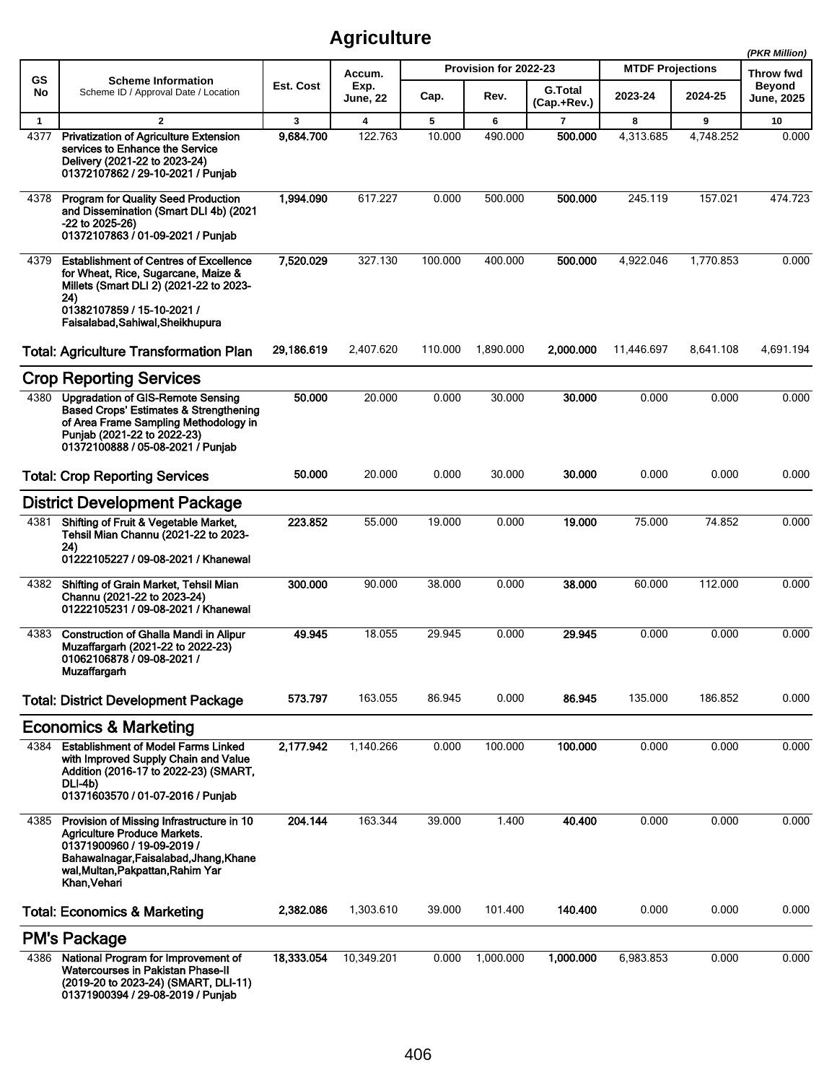|              |                                                                                                                                                                                                              |            |                         |         |                       |                               |                         |           | (PKR Million)                      |
|--------------|--------------------------------------------------------------------------------------------------------------------------------------------------------------------------------------------------------------|------------|-------------------------|---------|-----------------------|-------------------------------|-------------------------|-----------|------------------------------------|
| <b>GS</b>    | <b>Scheme Information</b>                                                                                                                                                                                    |            | Accum.                  |         | Provision for 2022-23 |                               | <b>MTDF Projections</b> |           | Throw fwd                          |
| No           | Scheme ID / Approval Date / Location                                                                                                                                                                         | Est. Cost  | Exp.<br><b>June, 22</b> | Cap.    | Rev.                  | <b>G.Total</b><br>(Cap.+Rev.) | 2023-24                 | 2024-25   | <b>Beyond</b><br><b>June, 2025</b> |
| $\mathbf{1}$ | $\overline{2}$                                                                                                                                                                                               | 3          | 4                       | 5       | 6                     | $\overline{7}$                | 8                       | 9         | 10                                 |
| 4377         | <b>Privatization of Agriculture Extension</b><br>services to Enhance the Service<br>Delivery (2021-22 to 2023-24)<br>01372107862 / 29-10-2021 / Punjab                                                       | 9,684.700  | 122.763                 | 10.000  | 490.000               | 500.000                       | 4,313.685               | 4,748.252 | 0.000                              |
| 4378         | <b>Program for Quality Seed Production</b><br>and Dissemination (Smart DLI 4b) (2021<br>$-22$ to $2025-26$ )<br>01372107863 / 01-09-2021 / Punjab                                                            | 1,994.090  | 617.227                 | 0.000   | 500.000               | 500.000                       | 245.119                 | 157.021   | 474.723                            |
| 4379         | <b>Establishment of Centres of Excellence</b><br>for Wheat, Rice, Sugarcane, Maize &<br>Millets (Smart DLI 2) (2021-22 to 2023-<br>24)<br>01382107859 / 15-10-2021 /<br>Faisalabad, Sahiwal, Sheikhupura     | 7,520.029  | 327.130                 | 100.000 | 400.000               | 500.000                       | 4,922.046               | 1,770.853 | 0.000                              |
|              | <b>Total: Agriculture Transformation Plan</b>                                                                                                                                                                | 29,186.619 | 2,407.620               | 110.000 | 1,890.000             | 2,000.000                     | 11,446.697              | 8,641.108 | 4,691.194                          |
|              | <b>Crop Reporting Services</b>                                                                                                                                                                               |            |                         |         |                       |                               |                         |           |                                    |
| 4380         | <b>Upgradation of GIS-Remote Sensing</b><br>Based Crops' Estimates & Strengthening<br>of Area Frame Sampling Methodology in<br>Punjab (2021-22 to 2022-23)<br>01372100888 / 05-08-2021 / Punjab              | 50.000     | 20.000                  | 0.000   | 30.000                | 30.000                        | 0.000                   | 0.000     | 0.000                              |
|              | <b>Total: Crop Reporting Services</b>                                                                                                                                                                        | 50,000     | 20.000                  | 0.000   | 30.000                | 30.000                        | 0.000                   | 0.000     | 0.000                              |
|              | <b>District Development Package</b>                                                                                                                                                                          |            |                         |         |                       |                               |                         |           |                                    |
| 4381         | Shifting of Fruit & Vegetable Market,<br>Tehsil Mian Channu (2021-22 to 2023-<br>24)<br>01222105227 / 09-08-2021 / Khanewal                                                                                  | 223.852    | 55.000                  | 19.000  | 0.000                 | 19.000                        | 75.000                  | 74.852    | 0.000                              |
| 4382         | Shifting of Grain Market, Tehsil Mian<br>Channu (2021-22 to 2023-24)<br>01222105231 / 09-08-2021 / Khanewal                                                                                                  | 300.000    | 90.000                  | 38.000  | 0.000                 | 38.000                        | 60.000                  | 112.000   | 0.000                              |
| 4383         | <b>Construction of Ghalla Mandi in Alipur</b><br>Muzaffargarh (2021-22 to 2022-23)<br>01062106878 / 09-08-2021 /<br>Muzaffargarh                                                                             | 49.945     | 18.055                  | 29.945  | 0.000                 | 29.945                        | 0.000                   | 0.000     | 0.000                              |
|              | <b>Total: District Development Package</b>                                                                                                                                                                   | 573.797    | 163.055                 | 86.945  | 0.000                 | 86.945                        | 135.000                 | 186.852   | 0.000                              |
|              | <b>Economics &amp; Marketing</b>                                                                                                                                                                             |            |                         |         |                       |                               |                         |           |                                    |
| 4384         | <b>Establishment of Model Farms Linked</b><br>with Improved Supply Chain and Value<br>Addition (2016-17 to 2022-23) (SMART,<br>DLI-4b)<br>01371603570 / 01-07-2016 / Punjab                                  | 2,177.942  | 1,140.266               | 0.000   | 100.000               | 100.000                       | 0.000                   | 0.000     | 0.000                              |
| 4385         | Provision of Missing Infrastructure in 10<br><b>Agriculture Produce Markets.</b><br>01371900960 / 19-09-2019 /<br>Bahawalnagar, Faisalabad, Jhang, Khane<br>wal, Multan, Pakpattan, Rahim Yar<br>Khan Vehari | 204.144    | 163.344                 | 39.000  | 1.400                 | 40.400                        | 0.000                   | 0.000     | 0.000                              |
|              | <b>Total: Economics &amp; Marketing</b>                                                                                                                                                                      | 2,382.086  | 1,303.610               | 39.000  | 101.400               | 140.400                       | 0.000                   | 0.000     | 0.000                              |
|              | <b>PM's Package</b>                                                                                                                                                                                          |            |                         |         |                       |                               |                         |           |                                    |
| 4386         | National Program for Improvement of<br>Watercourses in Pakistan Phase-II<br>(2019-20 to 2023-24) (SMART, DLI-11)<br>01371900394 / 29-08-2019 / Punjab                                                        | 18,333.054 | 10,349.201              | 0.000   | 1,000.000             | 1,000.000                     | 6,983.853               | 0.000     | 0.000                              |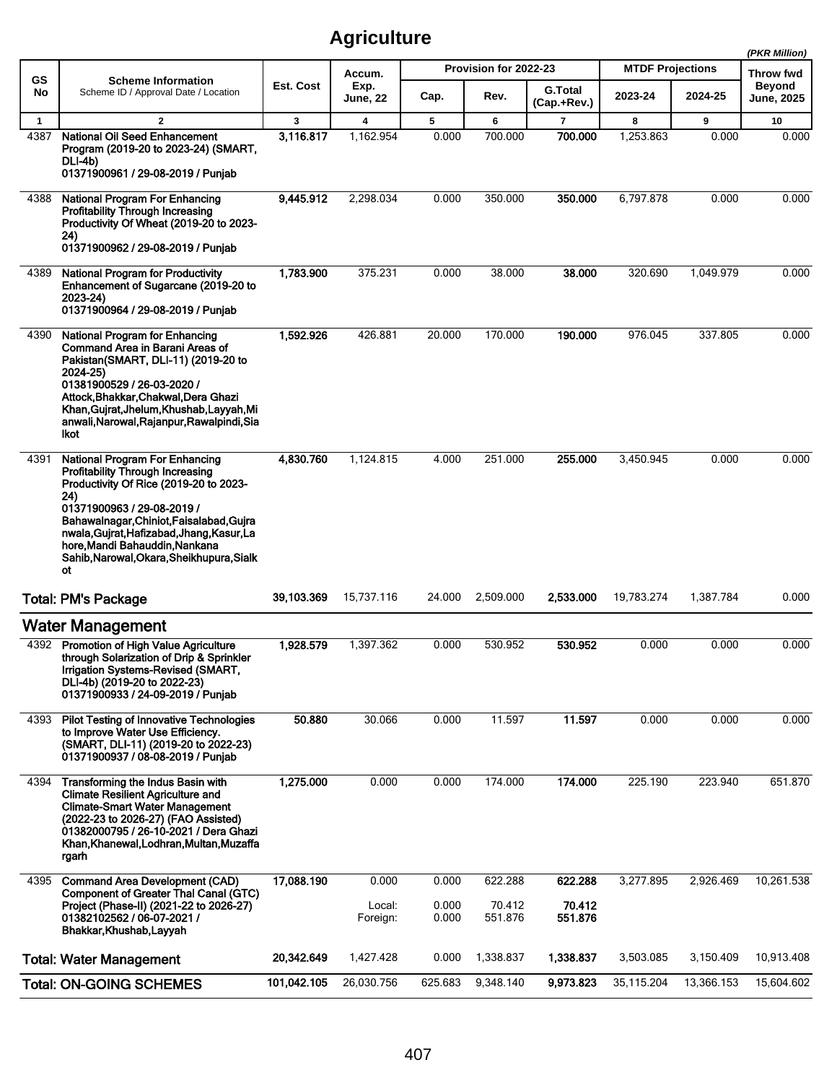|              |                                                                                                                                                                                                                                                                                                                                                |             |                         |                |                       |                               |                         |            | (PKR Million)              |
|--------------|------------------------------------------------------------------------------------------------------------------------------------------------------------------------------------------------------------------------------------------------------------------------------------------------------------------------------------------------|-------------|-------------------------|----------------|-----------------------|-------------------------------|-------------------------|------------|----------------------------|
| GS           | <b>Scheme Information</b>                                                                                                                                                                                                                                                                                                                      |             | Accum.                  |                | Provision for 2022-23 |                               | <b>MTDF Projections</b> |            | <b>Throw fwd</b><br>Beyond |
| No           | Scheme ID / Approval Date / Location                                                                                                                                                                                                                                                                                                           | Est. Cost   | Exp.<br><b>June, 22</b> | Cap.           | Rev.                  | <b>G.Total</b><br>(Cap.+Rev.) | 2023-24                 | 2024-25    | <b>June, 2025</b>          |
| $\mathbf{1}$ | $\overline{2}$                                                                                                                                                                                                                                                                                                                                 | 3           | 4                       | 5              | 6                     | 7                             | 8                       | 9          | 10                         |
| 4387         | National Oil Seed Enhancement<br>Program (2019-20 to 2023-24) (SMART,<br>DLI-4b)<br>01371900961 / 29-08-2019 / Punjab                                                                                                                                                                                                                          | 3,116.817   | 1,162.954               | 0.000          | 700.000               | 700.000                       | 1,253.863               | 0.000      | 0.000                      |
| 4388         | <b>National Program For Enhancing</b><br><b>Profitability Through Increasing</b><br>Productivity Of Wheat (2019-20 to 2023-<br>24)<br>01371900962 / 29-08-2019 / Punjab                                                                                                                                                                        | 9,445.912   | 2.298.034               | 0.000          | 350.000               | 350.000                       | 6,797.878               | 0.000      | 0.000                      |
| 4389         | <b>National Program for Productivity</b><br>Enhancement of Sugarcane (2019-20 to<br>2023-24)<br>01371900964 / 29-08-2019 / Punjab                                                                                                                                                                                                              | 1,783.900   | 375.231                 | 0.000          | 38.000                | 38.000                        | 320.690                 | 1,049.979  | 0.000                      |
| 4390         | <b>National Program for Enhancing</b><br><b>Command Area in Barani Areas of</b><br>Pakistan(SMART, DLI-11) (2019-20 to<br>2024-25)<br>01381900529 / 26-03-2020 /<br>Attock, Bhakkar, Chakwal, Dera Ghazi<br>Khan, Gujrat, Jhelum, Khushab, Layyah, Mi<br>anwali, Narowal, Rajanpur, Rawalpindi, Sia<br>Ikot                                    | 1,592.926   | 426.881                 | 20.000         | 170.000               | 190.000                       | 976.045                 | 337.805    | 0.000                      |
| 4391         | <b>National Program For Enhancing</b><br><b>Profitability Through Increasing</b><br>Productivity Of Rice (2019-20 to 2023-<br>24)<br>01371900963 / 29-08-2019 /<br>Bahawalnagar, Chiniot, Faisalabad, Gujra<br>nwala, Gujrat, Hafizabad, Jhang, Kasur, La<br>hore, Mandi Bahauddin, Nankana<br>Sahib, Narowal, Okara, Sheikhupura, Sialk<br>ot | 4,830.760   | 1,124.815               | 4.000          | 251.000               | 255.000                       | 3,450.945               | 0.000      | 0.000                      |
|              | <b>Total: PM's Package</b>                                                                                                                                                                                                                                                                                                                     | 39,103.369  | 15,737.116              | 24.000         | 2,509.000             | 2,533.000                     | 19,783.274              | 1,387.784  | 0.000                      |
|              | <b>Water Management</b>                                                                                                                                                                                                                                                                                                                        |             |                         |                |                       |                               |                         |            |                            |
| 4392         | <b>Promotion of High Value Agriculture</b><br>through Solarization of Drip & Sprinkler<br>Irrigation Systems-Revised (SMART,<br>DLI-4b) (2019-20 to 2022-23)<br>01371900933 / 24-09-2019 / Punjab                                                                                                                                              | 1,928.579   | 1,397.362               | 0.000          | 530.952               | 530.952                       | 0.000                   | 0.000      | 0.000                      |
| 4393         | <b>Pilot Testing of Innovative Technologies</b><br>to Improve Water Use Efficiency.<br>(SMART, DLI-11) (2019-20 to 2022-23)<br>01371900937 / 08-08-2019 / Punjab                                                                                                                                                                               | 50.880      | 30.066                  | 0.000          | 11.597                | 11.597                        | 0.000                   | 0.000      | 0.000                      |
| 4394         | Transforming the Indus Basin with<br><b>Climate Resilient Agriculture and</b><br><b>Climate-Smart Water Management</b><br>(2022-23 to 2026-27) (FAO Assisted)<br>01382000795 / 26-10-2021 / Dera Ghazi<br>Khan, Khanewal, Lodhran, Multan, Muzaffa<br>rgarh                                                                                    | 1,275.000   | 0.000                   | 0.000          | 174.000               | 174.000                       | 225.190                 | 223.940    | 651.870                    |
| 4395         | <b>Command Area Development (CAD)</b>                                                                                                                                                                                                                                                                                                          | 17,088.190  | 0.000                   | 0.000          | 622.288               | 622.288                       | 3,277.895               | 2,926.469  | 10,261.538                 |
|              | <b>Component of Greater Thal Canal (GTC)</b><br>Project (Phase-II) (2021-22 to 2026-27)<br>01382102562 / 06-07-2021 /<br>Bhakkar, Khushab, Layyah                                                                                                                                                                                              |             | Local:<br>Foreign:      | 0.000<br>0.000 | 70.412<br>551.876     | 70.412<br>551.876             |                         |            |                            |
|              | <b>Total: Water Management</b>                                                                                                                                                                                                                                                                                                                 | 20,342.649  | 1,427.428               | 0.000          | 1,338.837             | 1,338.837                     | 3,503.085               | 3,150.409  | 10,913.408                 |
|              | <b>Total: ON-GOING SCHEMES</b>                                                                                                                                                                                                                                                                                                                 | 101,042.105 | 26,030.756              | 625.683        | 9,348.140             | 9,973.823                     | 35,115.204              | 13,366.153 | 15,604.602                 |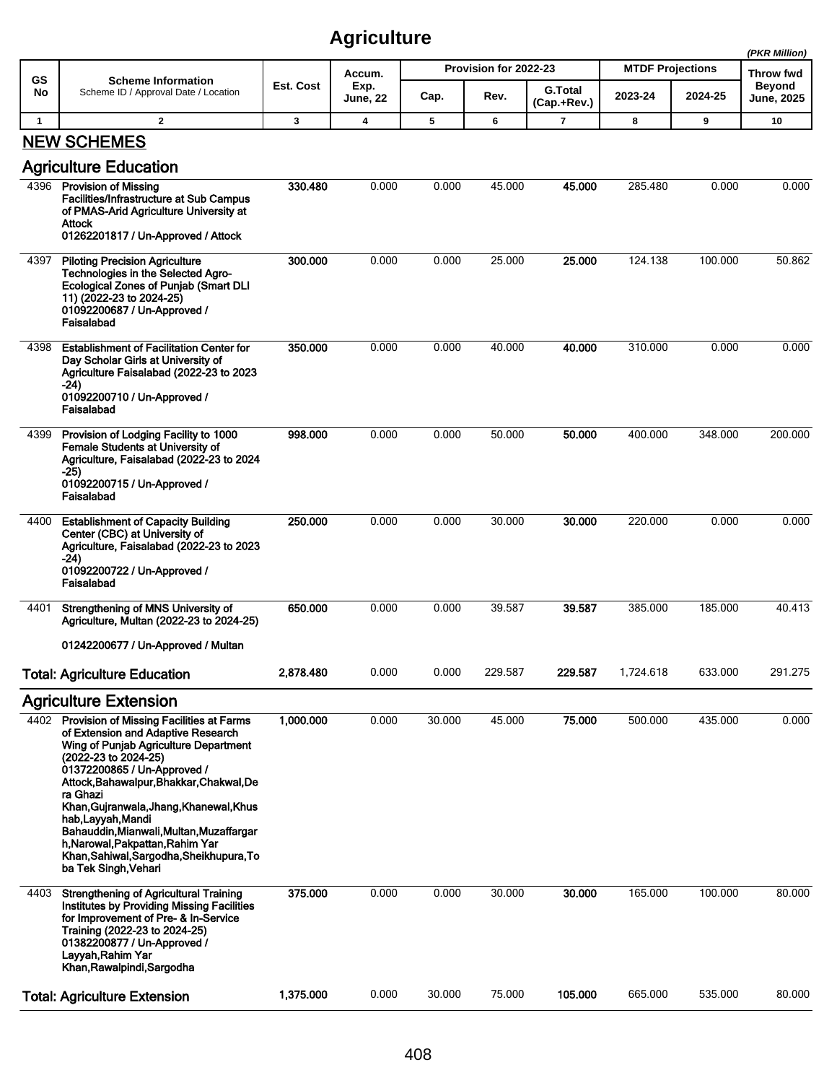|              |                                                                                                                                                                                                                                                                                                                                                                                                                                                                  |           |                         |        |                       |                               |                         |         | (PKR Million)               |
|--------------|------------------------------------------------------------------------------------------------------------------------------------------------------------------------------------------------------------------------------------------------------------------------------------------------------------------------------------------------------------------------------------------------------------------------------------------------------------------|-----------|-------------------------|--------|-----------------------|-------------------------------|-------------------------|---------|-----------------------------|
| GS           | <b>Scheme Information</b>                                                                                                                                                                                                                                                                                                                                                                                                                                        |           | Accum.                  |        | Provision for 2022-23 |                               | <b>MTDF Projections</b> |         | Throw fwd                   |
| No           | Scheme ID / Approval Date / Location                                                                                                                                                                                                                                                                                                                                                                                                                             | Est. Cost | Exp.<br><b>June, 22</b> | Cap.   | Rev.                  | <b>G.Total</b><br>(Cap.+Rev.) | 2023-24                 | 2024-25 | <b>Beyond</b><br>June, 2025 |
| $\mathbf{1}$ | $\overline{2}$                                                                                                                                                                                                                                                                                                                                                                                                                                                   | 3         | $\overline{\mathbf{4}}$ | 5      | 6                     | 7                             | 8                       | 9       | 10                          |
|              | <b>NEW SCHEMES</b><br><b>Agriculture Education</b>                                                                                                                                                                                                                                                                                                                                                                                                               |           |                         |        |                       |                               |                         |         |                             |
|              | 4396 Provision of Missing<br><b>Facilities/Infrastructure at Sub Campus</b><br>of PMAS-Arid Agriculture University at<br>Attock<br>01262201817 / Un-Approved / Attock                                                                                                                                                                                                                                                                                            | 330.480   | 0.000                   | 0.000  | 45.000                | 45.000                        | 285.480                 | 0.000   | 0.000                       |
| 4397         | <b>Piloting Precision Agriculture</b><br>Technologies in the Selected Agro-<br><b>Ecological Zones of Punjab (Smart DLI</b><br>11) (2022-23 to 2024-25)<br>01092200687 / Un-Approved /<br>Faisalabad                                                                                                                                                                                                                                                             | 300.000   | 0.000                   | 0.000  | 25.000                | 25.000                        | 124.138                 | 100.000 | 50.862                      |
| 4398         | <b>Establishment of Facilitation Center for</b><br>Day Scholar Girls at University of<br>Agriculture Faisalabad (2022-23 to 2023<br>-24)<br>01092200710 / Un-Approved /<br>Faisalabad                                                                                                                                                                                                                                                                            | 350.000   | 0.000                   | 0.000  | 40.000                | 40.000                        | 310.000                 | 0.000   | 0.000                       |
| 4399         | Provision of Lodging Facility to 1000<br>Female Students at University of<br>Agriculture, Faisalabad (2022-23 to 2024<br>$-25)$<br>01092200715 / Un-Approved /<br>Faisalabad                                                                                                                                                                                                                                                                                     | 998.000   | 0.000                   | 0.000  | 50.000                | 50.000                        | 400.000                 | 348.000 | 200.000                     |
| 4400         | <b>Establishment of Capacity Building</b><br>Center (CBC) at University of<br>Agriculture, Faisalabad (2022-23 to 2023<br>-24)<br>01092200722 / Un-Approved /<br>Faisalabad                                                                                                                                                                                                                                                                                      | 250,000   | 0.000                   | 0.000  | 30.000                | 30,000                        | 220.000                 | 0.000   | 0.000                       |
| 4401         | Strengthening of MNS University of<br>Agriculture, Multan (2022-23 to 2024-25)<br>01242200677 / Un-Approved / Multan                                                                                                                                                                                                                                                                                                                                             | 650.000   | 0.000                   | 0.000  | 39.587                | 39.587                        | 385.000                 | 185.000 | 40.413                      |
|              | <b>Total: Agriculture Education</b>                                                                                                                                                                                                                                                                                                                                                                                                                              | 2,878.480 | 0.000                   | 0.000  | 229.587               | 229.587                       | 1,724.618               | 633.000 | 291.275                     |
|              | <b>Agriculture Extension</b>                                                                                                                                                                                                                                                                                                                                                                                                                                     |           |                         |        |                       |                               |                         |         |                             |
|              | 4402 Provision of Missing Facilities at Farms<br>of Extension and Adaptive Research<br>Wing of Punjab Agriculture Department<br>(2022-23 to 2024-25)<br>01372200865 / Un-Approved /<br>Attock, Bahawalpur, Bhakkar, Chakwal, De<br>ra Ghazi<br>Khan, Gujranwala, Jhang, Khanewal, Khus<br>hab, Layyah, Mandi<br>Bahauddin, Mianwali, Multan, Muzaffargar<br>h, Narowal, Pakpattan, Rahim Yar<br>Khan, Sahiwal, Sargodha, Sheikhupura, To<br>ba Tek Singh, Vehari | 1,000.000 | 0.000                   | 30.000 | 45.000                | 75.000                        | 500.000                 | 435.000 | 0.000                       |
| 4403         | <b>Strengthening of Agricultural Training</b><br>Institutes by Providing Missing Facilities<br>for Improvement of Pre- & In-Service<br>Training (2022-23 to 2024-25)<br>01382200877 / Un-Approved /<br>Layyah, Rahim Yar<br>Khan, Rawalpindi, Sargodha                                                                                                                                                                                                           | 375.000   | 0.000                   | 0.000  | 30.000                | 30.000                        | 165.000                 | 100.000 | 80.000                      |
|              | <b>Total: Agriculture Extension</b>                                                                                                                                                                                                                                                                                                                                                                                                                              | 1,375.000 | 0.000                   | 30.000 | 75.000                | 105.000                       | 665.000                 | 535.000 | 80.000                      |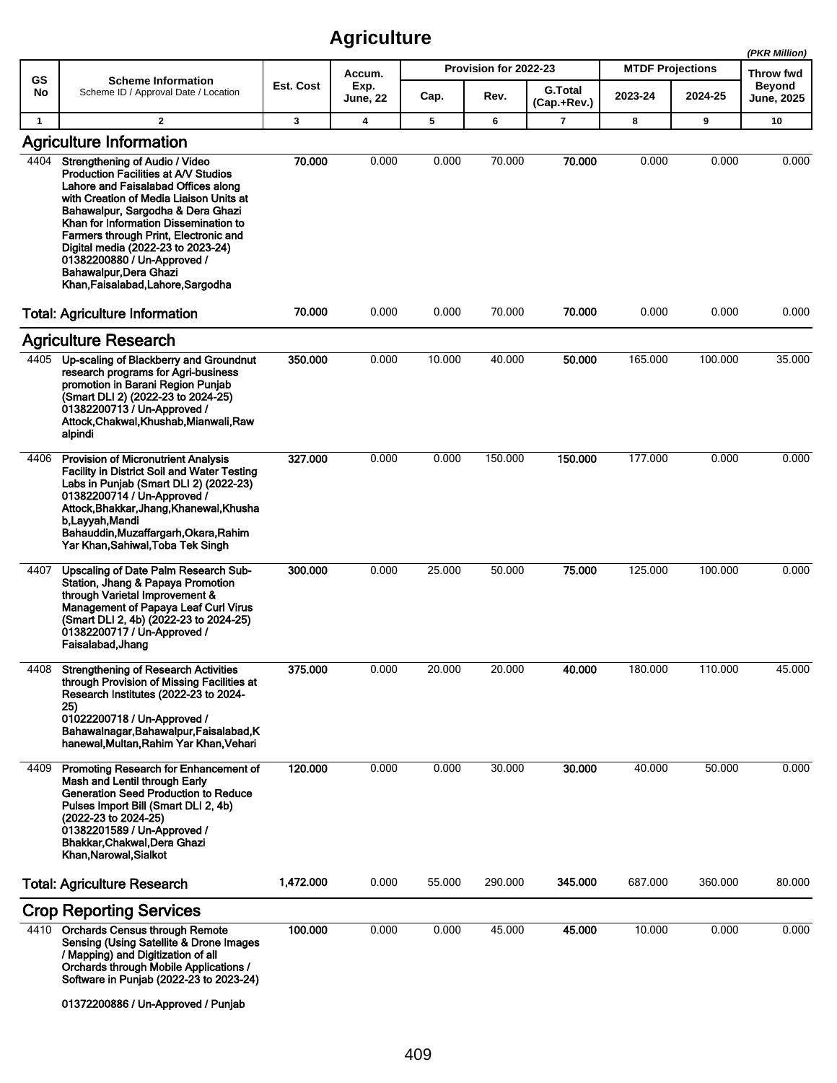|              |                                                                                                                                                                                                                                                                                                                                                                                                                             |           |                         |        |                       |                               |                         |         | (PKR Million)              |
|--------------|-----------------------------------------------------------------------------------------------------------------------------------------------------------------------------------------------------------------------------------------------------------------------------------------------------------------------------------------------------------------------------------------------------------------------------|-----------|-------------------------|--------|-----------------------|-------------------------------|-------------------------|---------|----------------------------|
| GS           | <b>Scheme Information</b>                                                                                                                                                                                                                                                                                                                                                                                                   | Est. Cost | Accum.                  |        | Provision for 2022-23 |                               | <b>MTDF Projections</b> |         | Throw fwd<br><b>Beyond</b> |
| No           | Scheme ID / Approval Date / Location                                                                                                                                                                                                                                                                                                                                                                                        |           | Exp.<br><b>June, 22</b> | Cap.   | Rev.                  | <b>G.Total</b><br>(Cap.+Rev.) | 2023-24                 | 2024-25 | <b>June, 2025</b>          |
| $\mathbf{1}$ | $\overline{2}$                                                                                                                                                                                                                                                                                                                                                                                                              | 3         | $\boldsymbol{4}$        | 5      | 6                     | $\overline{7}$                | 8                       | 9       | 10                         |
|              | <b>Agriculture Information</b>                                                                                                                                                                                                                                                                                                                                                                                              |           |                         |        |                       |                               |                         |         |                            |
| 4404         | <b>Strengthening of Audio / Video</b><br>Production Facilities at A/V Studios<br>Lahore and Faisalabad Offices along<br>with Creation of Media Liaison Units at<br>Bahawalpur, Sargodha & Dera Ghazi<br>Khan for Information Dissemination to<br>Farmers through Print, Electronic and<br>Digital media (2022-23 to 2023-24)<br>01382200880 / Un-Approved /<br>Bahawalpur, Dera Ghazi<br>Khan, Faisalabad, Lahore, Sargodha | 70.000    | 0.000                   | 0.000  | 70.000                | 70.000                        | 0.000                   | 0.000   | 0.000                      |
|              | <b>Total: Agriculture Information</b>                                                                                                                                                                                                                                                                                                                                                                                       | 70.000    | 0.000                   | 0.000  | 70.000                | 70.000                        | 0.000                   | 0.000   | 0.000                      |
|              | <b>Agriculture Research</b>                                                                                                                                                                                                                                                                                                                                                                                                 |           |                         |        |                       |                               |                         |         |                            |
| 4405         | Up-scaling of Blackberry and Groundnut<br>research programs for Agri-business<br>promotion in Barani Region Puniab<br>(Smart DLI 2) (2022-23 to 2024-25)<br>01382200713 / Un-Approved /<br>Attock, Chakwal, Khushab, Mianwali, Raw<br>alpindi                                                                                                                                                                               | 350.000   | 0.000                   | 10.000 | 40.000                | 50.000                        | 165.000                 | 100.000 | 35.000                     |
| 4406         | <b>Provision of Micronutrient Analysis</b><br><b>Facility in District Soil and Water Testing</b><br>Labs in Punjab (Smart DLI 2) (2022-23)<br>01382200714 / Un-Approved /<br>Attock, Bhakkar, Jhang, Khanewal, Khusha<br>b, Layyah, Mandi<br>Bahauddin, Muzaffargarh, Okara, Rahim<br>Yar Khan, Sahiwal, Toba Tek Singh                                                                                                     | 327.000   | 0.000                   | 0.000  | 150.000               | 150,000                       | 177.000                 | 0.000   | 0.000                      |
| 4407         | <b>Upscaling of Date Palm Research Sub-</b><br>Station, Jhang & Papaya Promotion<br>through Varietal Improvement &<br>Management of Papaya Leaf Curl Virus<br>(Smart DLI 2, 4b) (2022-23 to 2024-25)<br>01382200717 / Un-Approved /<br>Faisalabad, Jhang                                                                                                                                                                    | 300.000   | 0.000                   | 25.000 | 50.000                | 75.000                        | 125.000                 | 100.000 | 0.000                      |
|              | 4408 Strengthening of Research Activities<br>through Provision of Missing Facilities at<br>Research Institutes (2022-23 to 2024-<br>25)<br>01022200718 / Un-Approved /<br>Bahawalnagar, Bahawalpur, Faisalabad, K<br>hanewal, Multan, Rahim Yar Khan, Vehari                                                                                                                                                                | 375.000   | 0.000                   | 20.000 | 20.000                | 40.000                        | 180.000                 | 110.000 | 45.000                     |
| 4409         | Promoting Research for Enhancement of<br>Mash and Lentil through Early<br><b>Generation Seed Production to Reduce</b><br>Pulses Import Bill (Smart DLI 2, 4b)<br>(2022-23 to 2024-25)<br>01382201589 / Un-Approved /<br>Bhakkar, Chakwal, Dera Ghazi<br>Khan, Narowal, Sialkot                                                                                                                                              | 120.000   | 0.000                   | 0.000  | 30.000                | 30.000                        | 40.000                  | 50.000  | 0.000                      |
|              | <b>Total: Agriculture Research</b>                                                                                                                                                                                                                                                                                                                                                                                          | 1,472.000 | 0.000                   | 55.000 | 290.000               | 345.000                       | 687.000                 | 360.000 | 80.000                     |
|              | <b>Crop Reporting Services</b>                                                                                                                                                                                                                                                                                                                                                                                              |           |                         |        |                       |                               |                         |         |                            |
|              | 4410 Orchards Census through Remote<br>Sensing (Using Satellite & Drone Images<br>/ Mapping) and Digitization of all<br>Orchards through Mobile Applications /<br>Software in Punjab (2022-23 to 2023-24)<br>01372200886 / Un-Approved / Punjab                                                                                                                                                                             | 100.000   | 0.000                   | 0.000  | 45.000                | 45.000                        | 10.000                  | 0.000   | 0.000                      |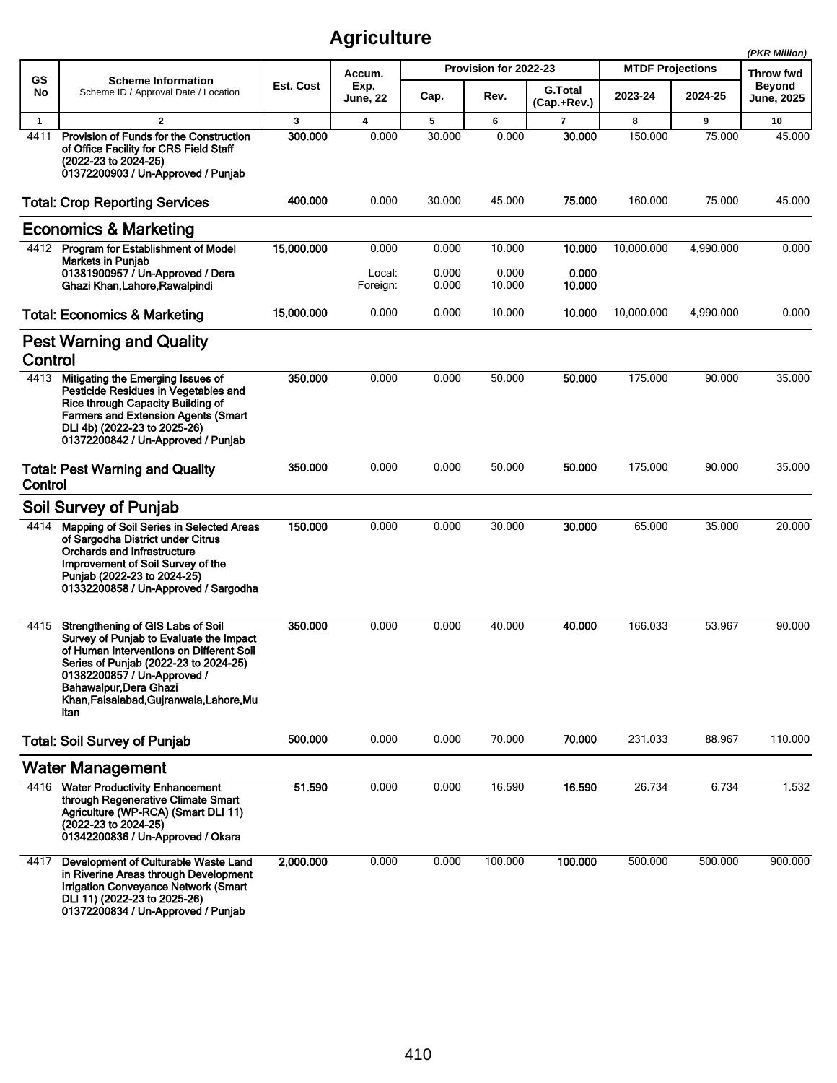|              |                                                                                                                                                                                                                                                                                |            |                         |                |                       |                               |                         |           | (PKR Million)               |
|--------------|--------------------------------------------------------------------------------------------------------------------------------------------------------------------------------------------------------------------------------------------------------------------------------|------------|-------------------------|----------------|-----------------------|-------------------------------|-------------------------|-----------|-----------------------------|
| GS           | <b>Scheme Information</b>                                                                                                                                                                                                                                                      |            | Accum.                  |                | Provision for 2022-23 |                               | <b>MTDF Projections</b> |           | Throw fwd                   |
| No           | Scheme ID / Approval Date / Location                                                                                                                                                                                                                                           | Est. Cost  | Exp.<br><b>June, 22</b> | Cap.           | Rev.                  | <b>G.Total</b><br>(Cap.+Rev.) | 2023-24                 | 2024-25   | <b>Beyond</b><br>June, 2025 |
| $\mathbf{1}$ | $\overline{2}$                                                                                                                                                                                                                                                                 | 3          | 4                       | 5              | 6                     | $\overline{7}$                | 8                       | 9         | 10                          |
| 4411         | <b>Provision of Funds for the Construction</b><br>of Office Facility for CRS Field Staff<br>(2022-23 to 2024-25)<br>01372200903 / Un-Approved / Punjab                                                                                                                         | 300.000    | 0.000                   | 30.000         | 0.000                 | 30,000                        | 150,000                 | 75.000    | 45.000                      |
|              | <b>Total: Crop Reporting Services</b>                                                                                                                                                                                                                                          | 400.000    | 0.000                   | 30.000         | 45.000                | 75.000                        | 160.000                 | 75.000    | 45.000                      |
|              | <b>Economics &amp; Marketing</b>                                                                                                                                                                                                                                               |            |                         |                |                       |                               |                         |           |                             |
| 4412         | <b>Program for Establishment of Model</b>                                                                                                                                                                                                                                      | 15,000.000 | 0.000                   | 0.000          | 10.000                | 10.000                        | 10,000.000              | 4,990.000 | 0.000                       |
|              | <b>Markets in Punjab</b><br>01381900957 / Un-Approved / Dera<br>Ghazi Khan, Lahore, Rawalpindi                                                                                                                                                                                 |            | Local:<br>Foreign:      | 0.000<br>0.000 | 0.000<br>10.000       | 0.000<br>10.000               |                         |           |                             |
|              | <b>Total: Economics &amp; Marketing</b>                                                                                                                                                                                                                                        | 15,000.000 | 0.000                   | 0.000          | 10.000                | 10.000                        | 10,000.000              | 4,990.000 | 0.000                       |
|              | <b>Pest Warning and Quality</b>                                                                                                                                                                                                                                                |            |                         |                |                       |                               |                         |           |                             |
| Control      |                                                                                                                                                                                                                                                                                |            |                         |                |                       |                               |                         |           |                             |
| 4413         | Mitigating the Emerging Issues of<br>Pesticide Residues in Vegetables and<br>Rice through Capacity Building of<br><b>Farmers and Extension Agents (Smart</b><br>DLI 4b) (2022-23 to 2025-26)<br>01372200842 / Un-Approved / Punjab                                             | 350,000    | 0.000                   | 0.000          | 50.000                | 50,000                        | 175.000                 | 90.000    | 35.000                      |
| Control      | <b>Total: Pest Warning and Quality</b>                                                                                                                                                                                                                                         | 350.000    | 0.000                   | 0.000          | 50.000                | 50.000                        | 175.000                 | 90.000    | 35.000                      |
|              | <b>Soil Survey of Punjab</b>                                                                                                                                                                                                                                                   |            |                         |                |                       |                               |                         |           |                             |
| 4414         | Mapping of Soil Series in Selected Areas<br>of Sargodha District under Citrus<br><b>Orchards and Infrastructure</b><br>Improvement of Soil Survey of the<br>Punjab (2022-23 to 2024-25)<br>01332200858 / Un-Approved / Sargodha                                                | 150.000    | 0.000                   | 0.000          | 30.000                | 30.000                        | 65.000                  | 35.000    | 20.000                      |
| 4415         | Strengthening of GIS Labs of Soil<br>Survey of Punjab to Evaluate the Impact<br>of Human Interventions on Different Soil<br>Series of Punjab (2022-23 to 2024-25)<br>01382200857 / Un-Approved /<br>Bahawalpur, Dera Ghazi<br>Khan, Faisalabad, Gujranwala, Lahore, Mu<br>ltan | 350.000    | 0.000                   | 0.000          | 40.000                | 40.000                        | 166.033                 | 53.967    | 90.000                      |
|              | <b>Total: Soil Survey of Punjab</b>                                                                                                                                                                                                                                            | 500.000    | 0.000                   | 0.000          | 70.000                | 70.000                        | 231.033                 | 88.967    | 110.000                     |
|              | <b>Water Management</b>                                                                                                                                                                                                                                                        |            |                         |                |                       |                               |                         |           |                             |
| 4416         | <b>Water Productivity Enhancement</b><br>through Regenerative Climate Smart<br>Agriculture (WP-RCA) (Smart DLI 11)<br>(2022-23 to 2024-25)<br>01342200836 / Un-Approved / Okara                                                                                                | 51.590     | 0.000                   | 0.000          | 16.590                | 16.590                        | 26.734                  | 6.734     | 1.532                       |
| 4417         | Development of Culturable Waste Land<br>in Riverine Areas through Development<br><b>Irrigation Conveyance Network (Smart</b><br>DLI 11) (2022-23 to 2025-26)<br>01372200834 / Un-Approved / Punjab                                                                             | 2,000.000  | 0.000                   | 0.000          | 100.000               | 100.000                       | 500.000                 | 500.000   | 900.000                     |